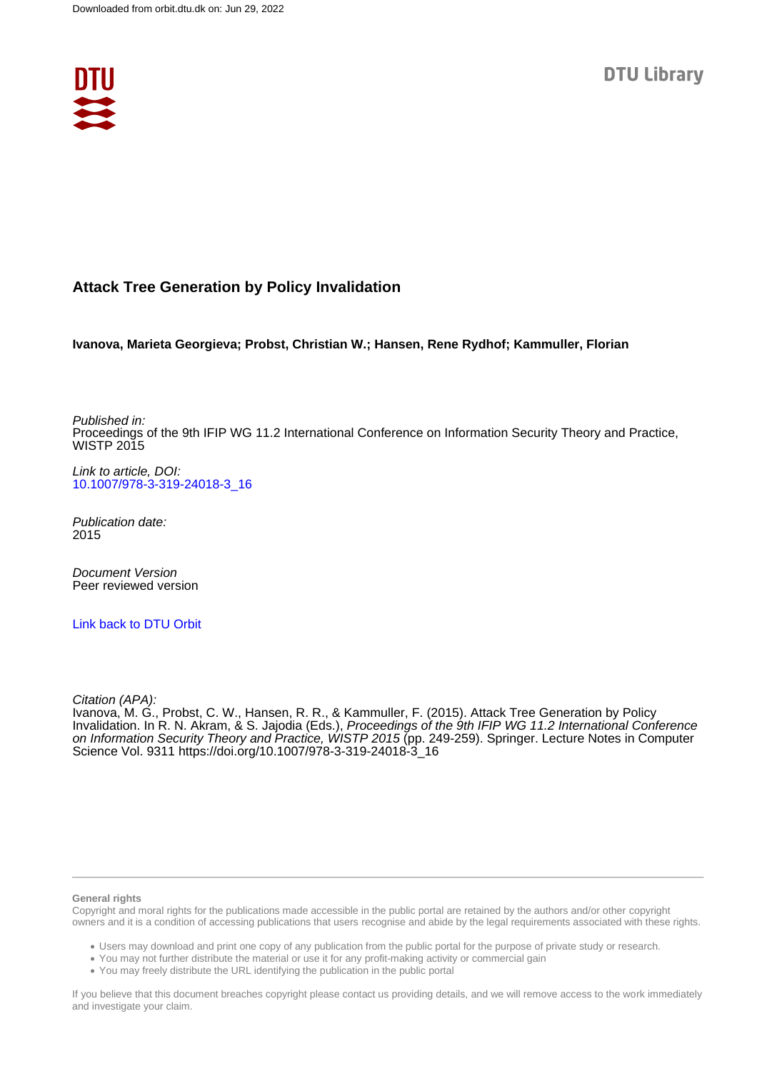

# **Attack Tree Generation by Policy Invalidation**

**Ivanova, Marieta Georgieva; Probst, Christian W.; Hansen, Rene Rydhof; Kammuller, Florian**

Published in: Proceedings of the 9th IFIP WG 11.2 International Conference on Information Security Theory and Practice, **WISTP 2015** 

Link to article, DOI: [10.1007/978-3-319-24018-3\\_16](https://doi.org/10.1007/978-3-319-24018-3_16)

Publication date: 2015

Document Version Peer reviewed version

[Link back to DTU Orbit](https://orbit.dtu.dk/en/publications/afc02450-ae73-4d9a-9266-128d09e245fb)

Citation (APA):

Ivanova, M. G., Probst, C. W., Hansen, R. R., & Kammuller, F. (2015). Attack Tree Generation by Policy Invalidation. In R. N. Akram, & S. Jajodia (Eds.), Proceedings of the 9th IFIP WG 11.2 International Conference on Information Security Theory and Practice, WISTP 2015 (pp. 249-259). Springer. Lecture Notes in Computer Science Vol. 9311 [https://doi.org/10.1007/978-3-319-24018-3\\_16](https://doi.org/10.1007/978-3-319-24018-3_16)

#### **General rights**

Copyright and moral rights for the publications made accessible in the public portal are retained by the authors and/or other copyright owners and it is a condition of accessing publications that users recognise and abide by the legal requirements associated with these rights.

Users may download and print one copy of any publication from the public portal for the purpose of private study or research.

- You may not further distribute the material or use it for any profit-making activity or commercial gain
- You may freely distribute the URL identifying the publication in the public portal

If you believe that this document breaches copyright please contact us providing details, and we will remove access to the work immediately and investigate your claim.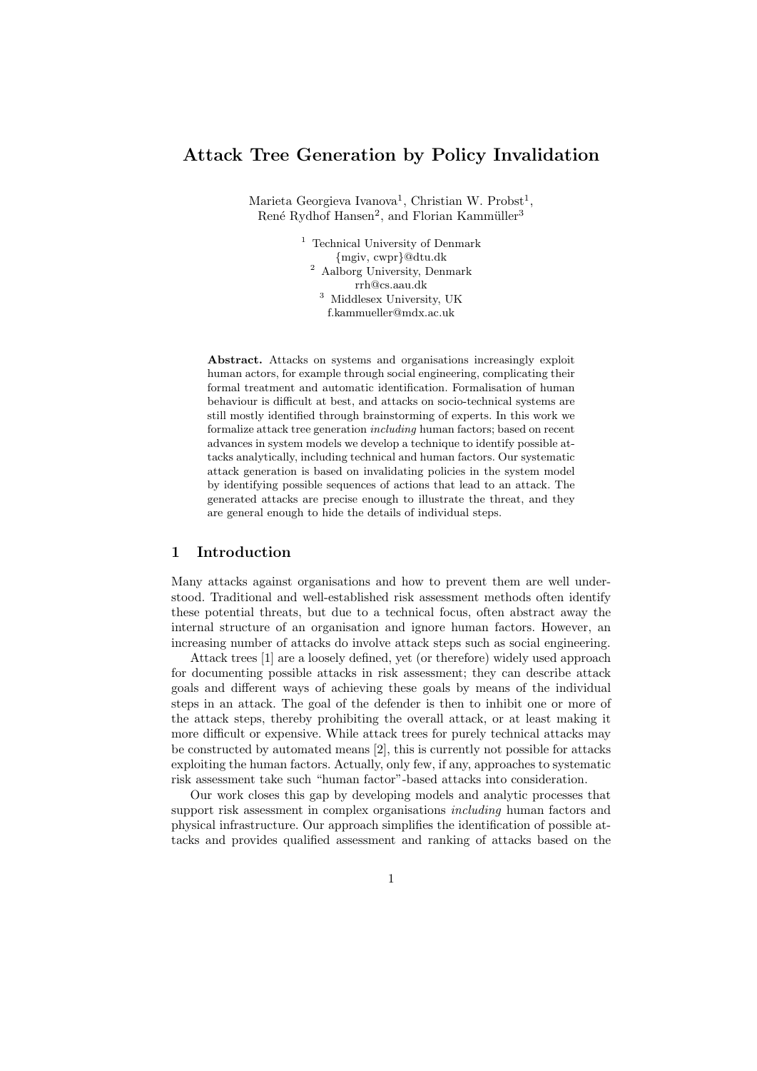# Attack Tree Generation by Policy Invalidation

Marieta Georgieva Ivanova<sup>1</sup>, Christian W. Probst<sup>1</sup>, René Rydhof Hansen<sup>2</sup>, and Florian Kammüller<sup>3</sup>

> <sup>1</sup> Technical University of Denmark {mgiv, cwpr}@dtu.dk <sup>2</sup> Aalborg University, Denmark rrh@cs.aau.dk <sup>3</sup> Middlesex University, UK f.kammueller@mdx.ac.uk

Abstract. Attacks on systems and organisations increasingly exploit human actors, for example through social engineering, complicating their formal treatment and automatic identification. Formalisation of human behaviour is difficult at best, and attacks on socio-technical systems are still mostly identified through brainstorming of experts. In this work we formalize attack tree generation including human factors; based on recent advances in system models we develop a technique to identify possible attacks analytically, including technical and human factors. Our systematic attack generation is based on invalidating policies in the system model by identifying possible sequences of actions that lead to an attack. The generated attacks are precise enough to illustrate the threat, and they are general enough to hide the details of individual steps.

## 1 Introduction

Many attacks against organisations and how to prevent them are well understood. Traditional and well-established risk assessment methods often identify these potential threats, but due to a technical focus, often abstract away the internal structure of an organisation and ignore human factors. However, an increasing number of attacks do involve attack steps such as social engineering.

Attack trees [1] are a loosely defined, yet (or therefore) widely used approach for documenting possible attacks in risk assessment; they can describe attack goals and different ways of achieving these goals by means of the individual steps in an attack. The goal of the defender is then to inhibit one or more of the attack steps, thereby prohibiting the overall attack, or at least making it more difficult or expensive. While attack trees for purely technical attacks may be constructed by automated means [2], this is currently not possible for attacks exploiting the human factors. Actually, only few, if any, approaches to systematic risk assessment take such "human factor"-based attacks into consideration.

Our work closes this gap by developing models and analytic processes that support risk assessment in complex organisations *including* human factors and physical infrastructure. Our approach simplifies the identification of possible attacks and provides qualified assessment and ranking of attacks based on the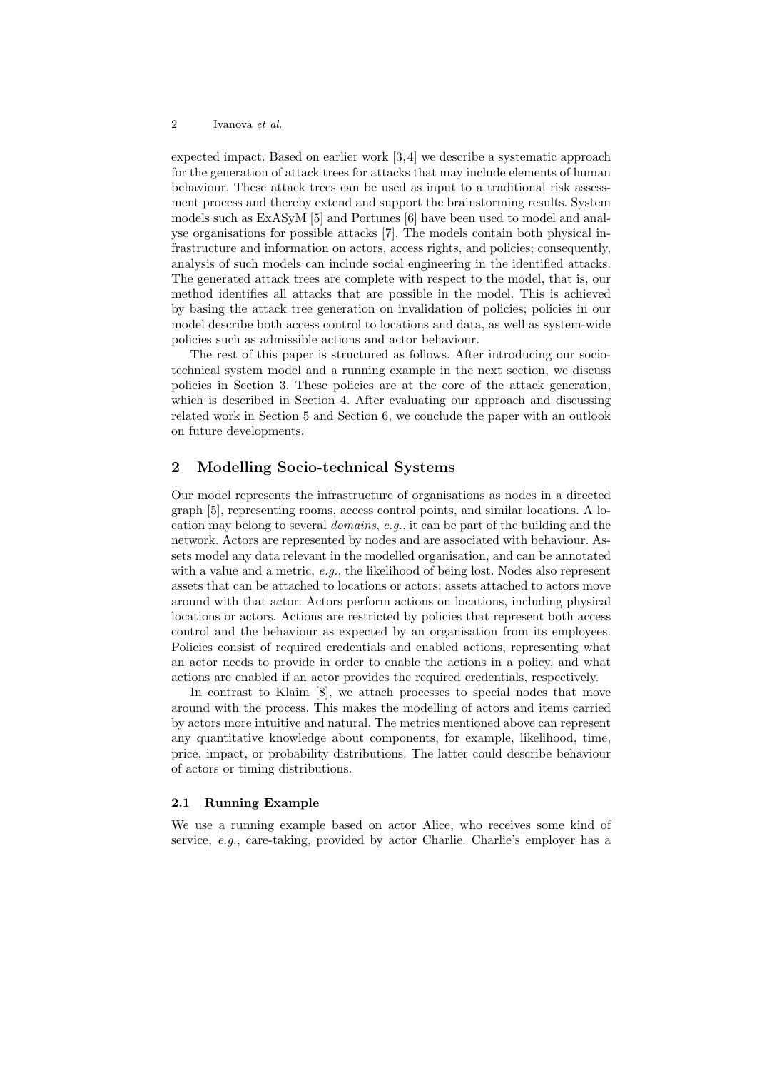expected impact. Based on earlier work [3, 4] we describe a systematic approach for the generation of attack trees for attacks that may include elements of human behaviour. These attack trees can be used as input to a traditional risk assessment process and thereby extend and support the brainstorming results. System models such as ExASyM [5] and Portunes [6] have been used to model and analyse organisations for possible attacks [7]. The models contain both physical infrastructure and information on actors, access rights, and policies; consequently, analysis of such models can include social engineering in the identified attacks. The generated attack trees are complete with respect to the model, that is, our method identifies all attacks that are possible in the model. This is achieved by basing the attack tree generation on invalidation of policies; policies in our model describe both access control to locations and data, as well as system-wide policies such as admissible actions and actor behaviour.

The rest of this paper is structured as follows. After introducing our sociotechnical system model and a running example in the next section, we discuss policies in Section 3. These policies are at the core of the attack generation, which is described in Section 4. After evaluating our approach and discussing related work in Section 5 and Section 6, we conclude the paper with an outlook on future developments.

## 2 Modelling Socio-technical Systems

Our model represents the infrastructure of organisations as nodes in a directed graph [5], representing rooms, access control points, and similar locations. A location may belong to several domains, e.g., it can be part of the building and the network. Actors are represented by nodes and are associated with behaviour. Assets model any data relevant in the modelled organisation, and can be annotated with a value and a metric,  $e, q$ , the likelihood of being lost. Nodes also represent assets that can be attached to locations or actors; assets attached to actors move around with that actor. Actors perform actions on locations, including physical locations or actors. Actions are restricted by policies that represent both access control and the behaviour as expected by an organisation from its employees. Policies consist of required credentials and enabled actions, representing what an actor needs to provide in order to enable the actions in a policy, and what actions are enabled if an actor provides the required credentials, respectively.

In contrast to Klaim [8], we attach processes to special nodes that move around with the process. This makes the modelling of actors and items carried by actors more intuitive and natural. The metrics mentioned above can represent any quantitative knowledge about components, for example, likelihood, time, price, impact, or probability distributions. The latter could describe behaviour of actors or timing distributions.

### 2.1 Running Example

We use a running example based on actor Alice, who receives some kind of service, e.g., care-taking, provided by actor Charlie. Charlie's employer has a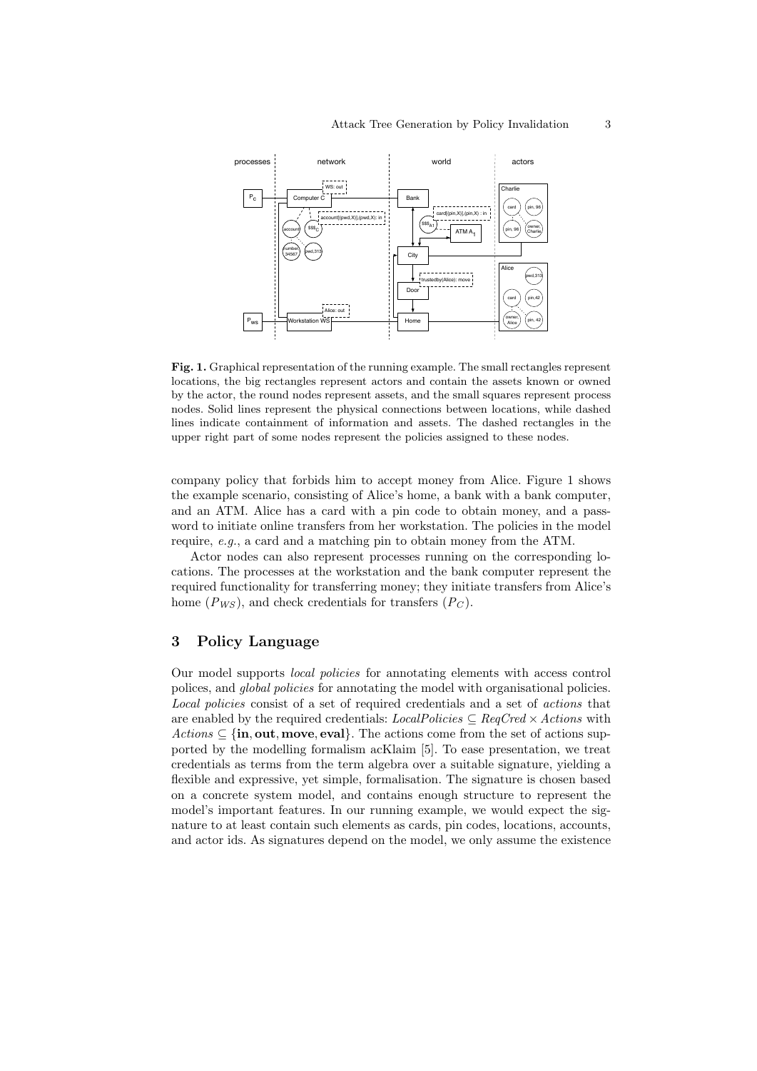

Fig. 1. Graphical representation of the running example. The small rectangles represent locations, the big rectangles represent actors and contain the assets known or owned by the actor, the round nodes represent assets, and the small squares represent process nodes. Solid lines represent the physical connections between locations, while dashed lines indicate containment of information and assets. The dashed rectangles in the upper right part of some nodes represent the policies assigned to these nodes.

company policy that forbids him to accept money from Alice. Figure 1 shows the example scenario, consisting of Alice's home, a bank with a bank computer, and an ATM. Alice has a card with a pin code to obtain money, and a password to initiate online transfers from her workstation. The policies in the model require, e.g., a card and a matching pin to obtain money from the ATM.

Actor nodes can also represent processes running on the corresponding locations. The processes at the workstation and the bank computer represent the required functionality for transferring money; they initiate transfers from Alice's home  $(P_{WS})$ , and check credentials for transfers  $(P_C)$ .

# 3 Policy Language

Our model supports local policies for annotating elements with access control polices, and global policies for annotating the model with organisational policies. Local policies consist of a set of required credentials and a set of actions that are enabled by the required credentials:  $LocalPolitics \subseteq RegCred \times Actions$  with  $\textit{Actions} \subseteq \{\textbf{in}, \textbf{out}, \textbf{move}, \textbf{eval}\}.$  The actions come from the set of actions supported by the modelling formalism acKlaim [5]. To ease presentation, we treat credentials as terms from the term algebra over a suitable signature, yielding a flexible and expressive, yet simple, formalisation. The signature is chosen based on a concrete system model, and contains enough structure to represent the model's important features. In our running example, we would expect the signature to at least contain such elements as cards, pin codes, locations, accounts, and actor ids. As signatures depend on the model, we only assume the existence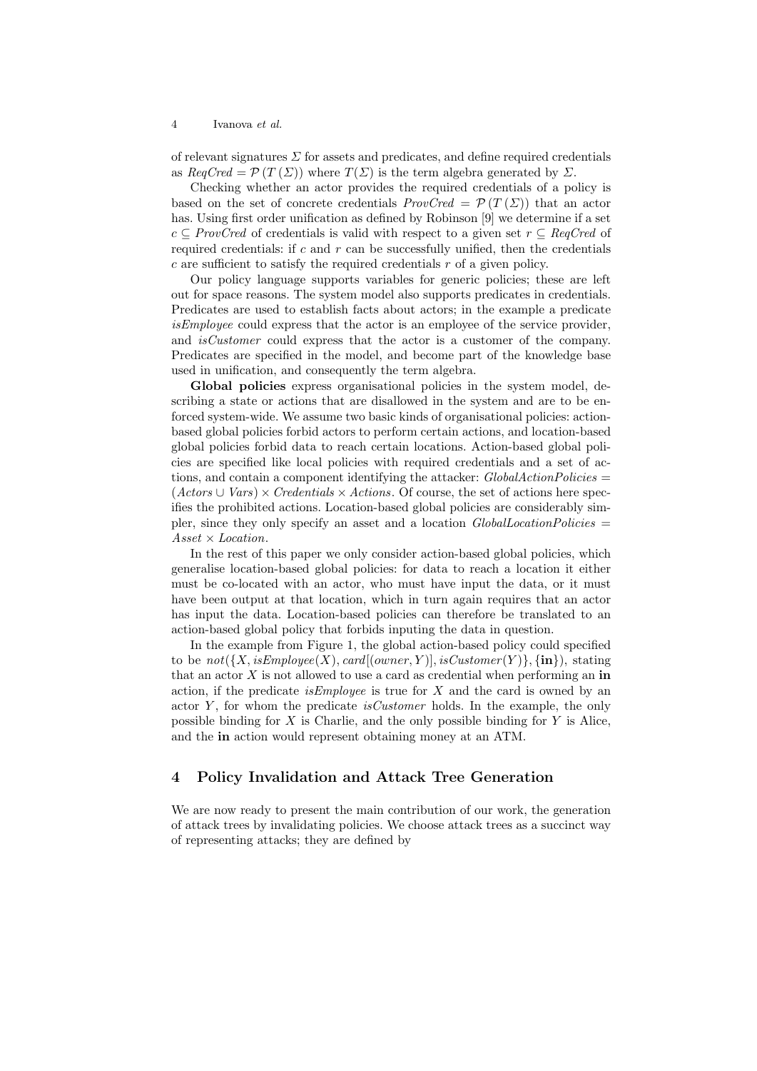of relevant signatures  $\Sigma$  for assets and predicates, and define required credentials as  $RegCred = \mathcal{P}(T(\Sigma))$  where  $T(\Sigma)$  is the term algebra generated by  $\Sigma$ .

Checking whether an actor provides the required credentials of a policy is based on the set of concrete credentials  $ProvCred = \mathcal{P}(T(\Sigma))$  that an actor has. Using first order unification as defined by Robinson [9] we determine if a set  $c \subseteq ProvCred$  of credentials is valid with respect to a given set  $r \subseteq RegCred$  of required credentials: if c and r can be successfully unified, then the credentials  $c$  are sufficient to satisfy the required credentials  $r$  of a given policy.

Our policy language supports variables for generic policies; these are left out for space reasons. The system model also supports predicates in credentials. Predicates are used to establish facts about actors; in the example a predicate isEmployee could express that the actor is an employee of the service provider, and *isCustomer* could express that the actor is a customer of the company. Predicates are specified in the model, and become part of the knowledge base used in unification, and consequently the term algebra.

Global policies express organisational policies in the system model, describing a state or actions that are disallowed in the system and are to be enforced system-wide. We assume two basic kinds of organisational policies: actionbased global policies forbid actors to perform certain actions, and location-based global policies forbid data to reach certain locations. Action-based global policies are specified like local policies with required credentials and a set of actions, and contain a component identifying the attacker:  $GlobalActionPolitics =$  $(Actors \cup Vars) \times Credentials \times Actions$ . Of course, the set of actions here specifies the prohibited actions. Location-based global policies are considerably simpler, since they only specify an asset and a location  $GlobalLocationPolitics =$  $\textit{A} \textit{sset} \times \textit{Location}.$ 

In the rest of this paper we only consider action-based global policies, which generalise location-based global policies: for data to reach a location it either must be co-located with an actor, who must have input the data, or it must have been output at that location, which in turn again requires that an actor has input the data. Location-based policies can therefore be translated to an action-based global policy that forbids inputing the data in question.

In the example from Figure 1, the global action-based policy could specified to be  $not({X, isEmployee(X), card[(owner, Y)], isCustomer(Y)}, {in}), stating$ that an actor  $X$  is not allowed to use a card as credential when performing an in action, if the predicate  $isEmployee$  is true for  $X$  and the card is owned by an actor Y, for whom the predicate *is Customer* holds. In the example, the only possible binding for  $X$  is Charlie, and the only possible binding for  $Y$  is Alice, and the in action would represent obtaining money at an ATM.

# 4 Policy Invalidation and Attack Tree Generation

We are now ready to present the main contribution of our work, the generation of attack trees by invalidating policies. We choose attack trees as a succinct way of representing attacks; they are defined by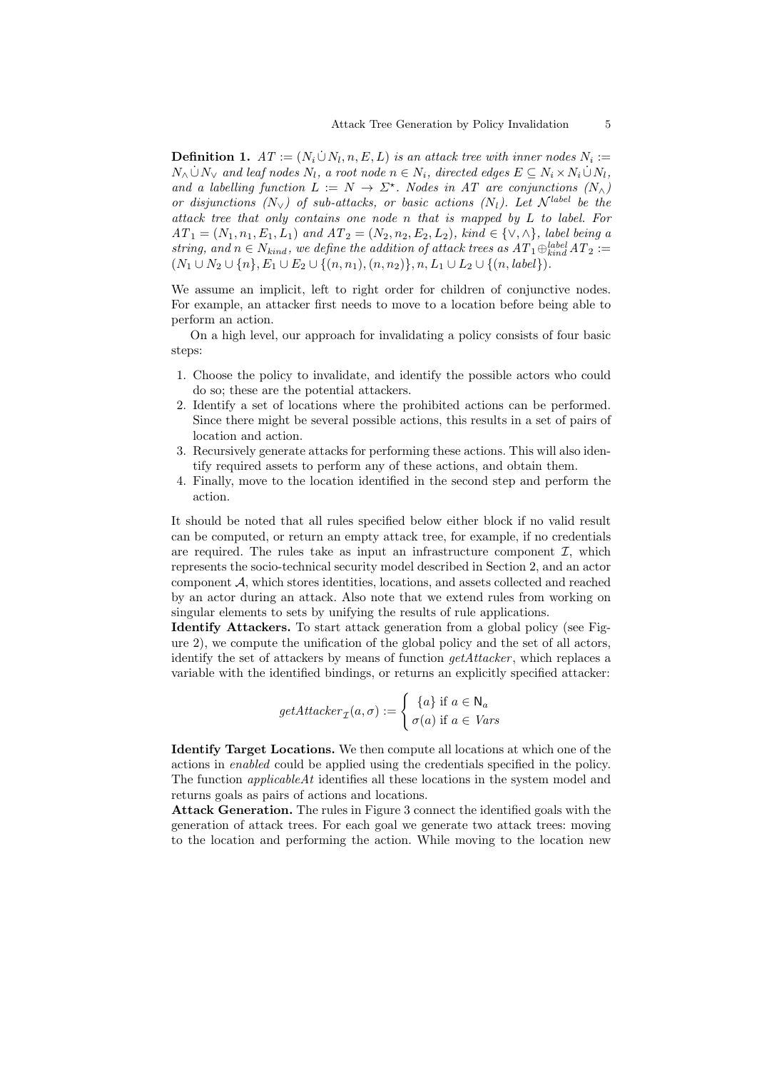**Definition 1.**  $AT := (N_i \cup N_l, n, E, L)$  is an attack tree with inner nodes  $N_i :=$  $N_{\wedge} \cup N_{\vee}$  and leaf nodes  $N_l$ , a root node  $n \in N_i$ , directed edges  $E \subseteq N_i \times N_i \cup N_l$ , and a labelling function  $L := N \to \Sigma^*$ . Nodes in AT are conjunctions  $(N_ \wedge )$ or disjunctions (N<sub>V</sub>) of sub-attacks, or basic actions (N<sub>l</sub>). Let  $\mathcal{N}^{label}$  be the attack tree that only contains one node n that is mapped by L to label. For  $AT_1 = (N_1, n_1, E_1, L_1)$  and  $AT_2 = (N_2, n_2, E_2, L_2)$ , kind  $\in \{\vee, \wedge\}$ , label being a string, and  $n \in N_{kind}$ , we define the addition of attack trees as  $AT_1 \oplus_{kind}^{label} AT_2 :=$  $(N_1 \cup N_2 \cup \{n\}, E_1 \cup E_2 \cup \{(n, n_1), (n, n_2)\}, n, L_1 \cup L_2 \cup \{(n, label\}).$ 

We assume an implicit, left to right order for children of conjunctive nodes. For example, an attacker first needs to move to a location before being able to perform an action.

On a high level, our approach for invalidating a policy consists of four basic steps:

- 1. Choose the policy to invalidate, and identify the possible actors who could do so; these are the potential attackers.
- 2. Identify a set of locations where the prohibited actions can be performed. Since there might be several possible actions, this results in a set of pairs of location and action.
- 3. Recursively generate attacks for performing these actions. This will also identify required assets to perform any of these actions, and obtain them.
- 4. Finally, move to the location identified in the second step and perform the action.

It should be noted that all rules specified below either block if no valid result can be computed, or return an empty attack tree, for example, if no credentials are required. The rules take as input an infrastructure component  $\mathcal{I}$ , which represents the socio-technical security model described in Section 2, and an actor component A, which stores identities, locations, and assets collected and reached by an actor during an attack. Also note that we extend rules from working on singular elements to sets by unifying the results of rule applications.

Identify Attackers. To start attack generation from a global policy (see Figure 2), we compute the unification of the global policy and the set of all actors, identify the set of attackers by means of function *getAttacker*, which replaces a variable with the identified bindings, or returns an explicitly specified attacker:

$$
getAttacker_{\mathcal{I}}(a, \sigma) := \begin{cases} \{a\} \text{ if } a \in \mathbb{N}_a \\ \sigma(a) \text{ if } a \in Vars \end{cases}
$$

Identify Target Locations. We then compute all locations at which one of the actions in enabled could be applied using the credentials specified in the policy. The function *applicableAt* identifies all these locations in the system model and returns goals as pairs of actions and locations.

Attack Generation. The rules in Figure 3 connect the identified goals with the generation of attack trees. For each goal we generate two attack trees: moving to the location and performing the action. While moving to the location new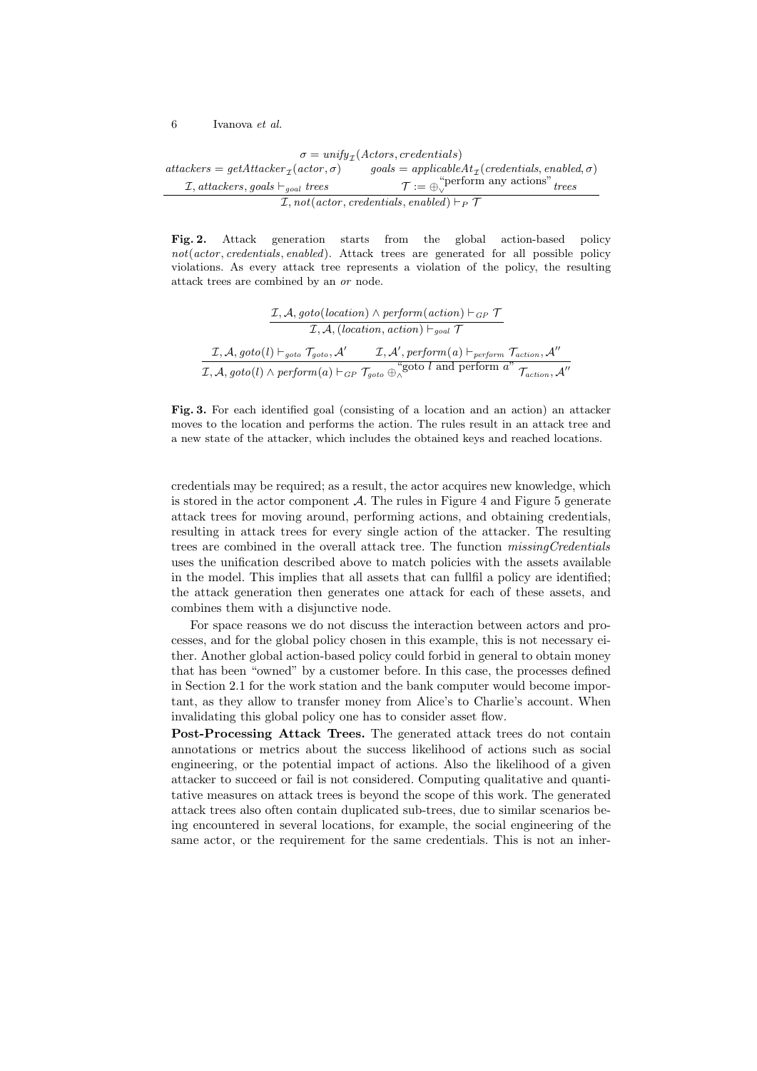### $\sigma = \text{unify}_{\mathcal{I}}(Actors, credentials)$

 $at tackers = getAtt acker_{\mathcal{I}}(actor, \sigma)$  $(\textit{actor}, \sigma)$  goals = applicable  $At_{\mathcal{I}}(\textit{credentials}, \textit{enabled}, \sigma)$  $I, \text{attackets}, \text{goals} \vdash_{\text{goal}} \text{trees}$ "perform any actions"  $_{trees}$  $\mathcal{I}, not (actor, credentials, enabled) \vdash_P \mathcal{T}$ 

Fig. 2. Attack generation starts from the global action-based policy not(actor, credentials, enabled). Attack trees are generated for all possible policy violations. As every attack tree represents a violation of the policy, the resulting attack trees are combined by an or node.

$$
\frac{\mathcal{I}, \mathcal{A}, \text{goto}(\text{location}) \land \text{perform}(\text{action}) \vdash_{GP} \mathcal{T}}{\mathcal{I}, \mathcal{A}, (\text{location}, \text{action}) \vdash_{\text{goal}} \mathcal{T}}
$$
\n
$$
\frac{\mathcal{I}, \mathcal{A}, \text{goto}(l) \vdash_{\text{goto}} \mathcal{T}_{\text{goto}}, \mathcal{A}'}{\mathcal{I}, \mathcal{A}, \text{perform}(a) \vdash_{\text{perform}} \mathcal{T}_{\text{action}}, \mathcal{A}''}
$$
\n
$$
\frac{\mathcal{I}, \mathcal{A}, \text{goto}(l) \land \text{perform}(a) \vdash_{GP} \mathcal{T}_{\text{goto}} \biguplus_{\Lambda}^{\text{``goto 1 and perform }a"} \mathcal{T}_{\text{action}}, \mathcal{A}''}{\mathcal{T}_{\text{action}}, \mathcal{A}''}
$$

Fig. 3. For each identified goal (consisting of a location and an action) an attacker moves to the location and performs the action. The rules result in an attack tree and a new state of the attacker, which includes the obtained keys and reached locations.

credentials may be required; as a result, the actor acquires new knowledge, which is stored in the actor component  $A$ . The rules in Figure 4 and Figure 5 generate attack trees for moving around, performing actions, and obtaining credentials, resulting in attack trees for every single action of the attacker. The resulting trees are combined in the overall attack tree. The function missingCredentials uses the unification described above to match policies with the assets available in the model. This implies that all assets that can fullfil a policy are identified; the attack generation then generates one attack for each of these assets, and combines them with a disjunctive node.

For space reasons we do not discuss the interaction between actors and processes, and for the global policy chosen in this example, this is not necessary either. Another global action-based policy could forbid in general to obtain money that has been "owned" by a customer before. In this case, the processes defined in Section 2.1 for the work station and the bank computer would become important, as they allow to transfer money from Alice's to Charlie's account. When invalidating this global policy one has to consider asset flow.

Post-Processing Attack Trees. The generated attack trees do not contain annotations or metrics about the success likelihood of actions such as social engineering, or the potential impact of actions. Also the likelihood of a given attacker to succeed or fail is not considered. Computing qualitative and quantitative measures on attack trees is beyond the scope of this work. The generated attack trees also often contain duplicated sub-trees, due to similar scenarios being encountered in several locations, for example, the social engineering of the same actor, or the requirement for the same credentials. This is not an inher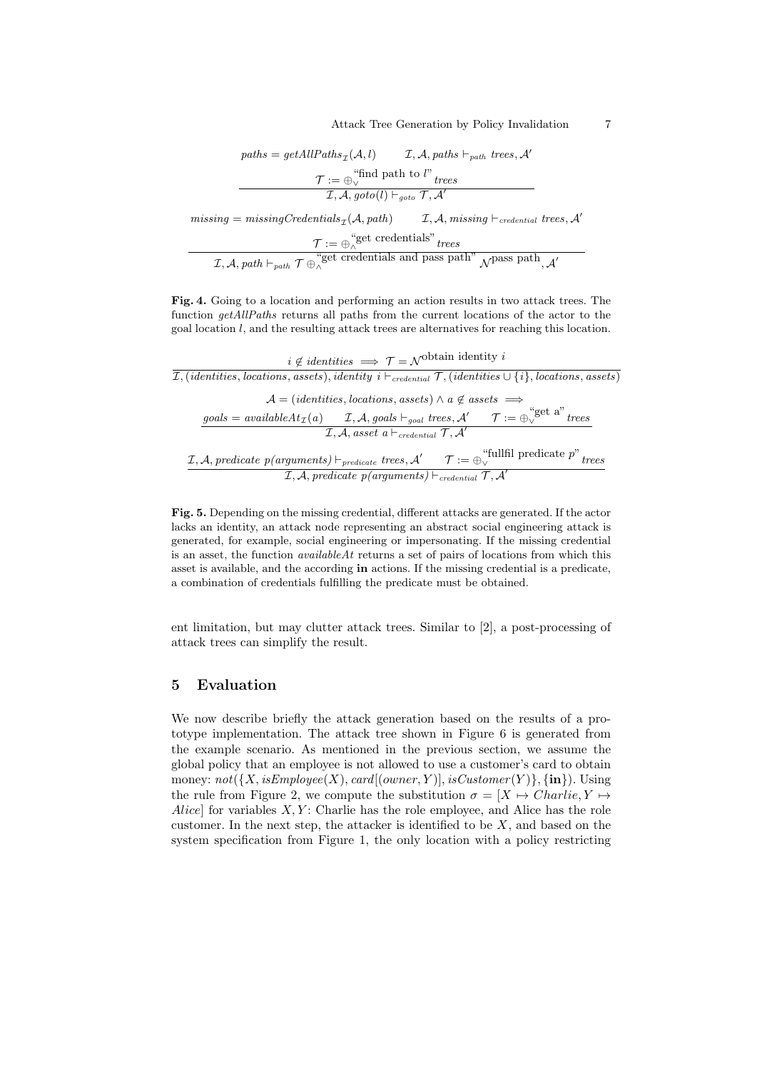Attack Tree Generation by Policy Invalidation 7

$$
paths = getAllPaths_{\mathcal{I}}(\mathcal{A}, l)
$$
  

$$
\mathcal{I}, \mathcal{A}, paths \vdash_{path} trees, \mathcal{A}'
$$
  

$$
\mathcal{T} := \bigoplus_{\vee}^{\text{``find path to } l"} trees
$$
  

$$
\mathcal{I}, \mathcal{A}, goto(l) \vdash_{goto} \mathcal{T}, \mathcal{A}'
$$
  

$$
missing Credentials_{\mathcal{I}}(\mathcal{A}, path)
$$
  

$$
\mathcal{T} := \bigoplus_{\wedge}^{\text{``get credentials''}} trees
$$

$$
\mathcal{I}, \mathcal{A}, path \vdash_{path} \mathcal{T} \oplus_{\wedge}^{\text{``get credentials and pass path''}} \mathcal{N}^{pass path}, \mathcal{A}'
$$

Fig. 4. Going to a location and performing an action results in two attack trees. The function getAllPaths returns all paths from the current locations of the actor to the goal location l, and the resulting attack trees are alternatives for reaching this location.

| $i \notin identities \implies \mathcal{T} = \mathcal{N}^{\text{obtain identity } i$                                                                                                                   |
|-------------------------------------------------------------------------------------------------------------------------------------------------------------------------------------------------------|
| $\mathcal{I}, (identities, locations, assets), identity\ i \vdash_{credential} \mathcal{T}, (identities \cup \{i\}, locations, assets)$                                                               |
| $\mathcal{A} = (identities, locations, assets) \land a \notin assets \implies$                                                                                                                        |
| $goals = availableAt_{\mathcal{I}}(a)$ $\mathcal{I}, \mathcal{A}, goals \vdash_{goal} trees, \mathcal{A}'$ $\mathcal{T} := \bigoplus_{\vee}^{``get a''} trees$                                        |
| $I, A$ , asset a $\vdash_{credertial} T, A'$                                                                                                                                                          |
| $\mathcal{I}, \mathcal{A},$ predicate $p(\text{arguments}) \vdash_{\text{predicate}} \text{trees}, \mathcal{A}' \qquad \mathcal{T} := \bigoplus_{\vee}^{\omega}$ fullfil predicate $p^{\omega}$ trees |
| $\mathcal{I}, \mathcal{A},$ predicate p(arguments) $\vdash_{\text{credential}} \mathcal{T}, \mathcal{A}'$                                                                                             |

Fig. 5. Depending on the missing credential, different attacks are generated. If the actor lacks an identity, an attack node representing an abstract social engineering attack is generated, for example, social engineering or impersonating. If the missing credential is an asset, the function *availableAt* returns a set of pairs of locations from which this asset is available, and the according in actions. If the missing credential is a predicate, a combination of credentials fulfilling the predicate must be obtained.

ent limitation, but may clutter attack trees. Similar to [2], a post-processing of attack trees can simplify the result.

# 5 Evaluation

We now describe briefly the attack generation based on the results of a prototype implementation. The attack tree shown in Figure 6 is generated from the example scenario. As mentioned in the previous section, we assume the global policy that an employee is not allowed to use a customer's card to obtain money:  $not({X, isEmployee(X), card[(owner, Y)], isCustomer(Y)}, {in}).$  Using the rule from Figure 2, we compute the substitution  $\sigma = [X \mapsto Charlie, Y \mapsto$ Alice] for variables  $X, Y$ : Charlie has the role employee, and Alice has the role customer. In the next step, the attacker is identified to be  $X$ , and based on the system specification from Figure 1, the only location with a policy restricting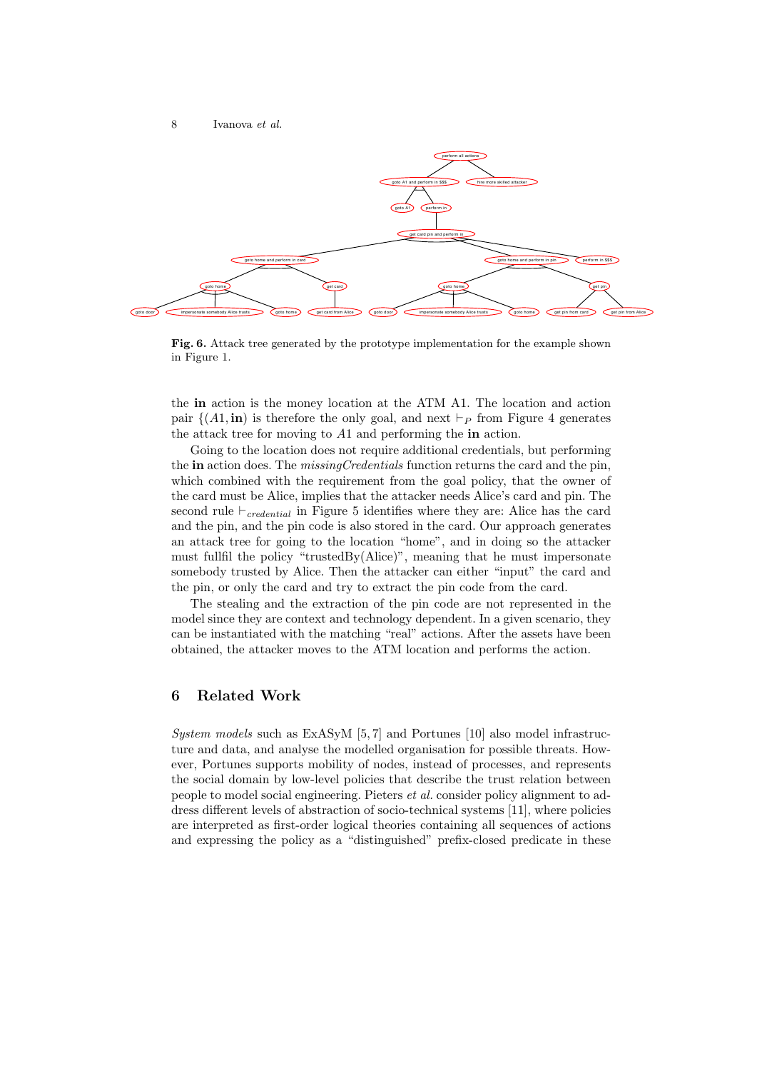



Fig. 6. Attack tree generated by the prototype implementation for the example shown in Figure 1.

the in action is the money location at the ATM A1. The location and action pair  $\{(A1, \text{in})$  is therefore the only goal, and next  $\models_P$  from Figure 4 generates the attack tree for moving to A1 and performing the in action.

Going to the location does not require additional credentials, but performing the in action does. The *missingCredentials* function returns the card and the pin, which combined with the requirement from the goal policy, that the owner of the card must be Alice, implies that the attacker needs Alice's card and pin. The second rule  $\vdash_{\text{credential}}$  in Figure 5 identifies where they are: Alice has the card and the pin, and the pin code is also stored in the card. Our approach generates an attack tree for going to the location "home", and in doing so the attacker must fullfil the policy "trustedBy(Alice)", meaning that he must impersonate somebody trusted by Alice. Then the attacker can either "input" the card and the pin, or only the card and try to extract the pin code from the card.

The stealing and the extraction of the pin code are not represented in the model since they are context and technology dependent. In a given scenario, they can be instantiated with the matching "real" actions. After the assets have been obtained, the attacker moves to the ATM location and performs the action.

# 6 Related Work

System models such as ExASyM [5, 7] and Portunes [10] also model infrastructure and data, and analyse the modelled organisation for possible threats. However, Portunes supports mobility of nodes, instead of processes, and represents the social domain by low-level policies that describe the trust relation between people to model social engineering. Pieters et al. consider policy alignment to address different levels of abstraction of socio-technical systems [11], where policies are interpreted as first-order logical theories containing all sequences of actions and expressing the policy as a "distinguished" prefix-closed predicate in these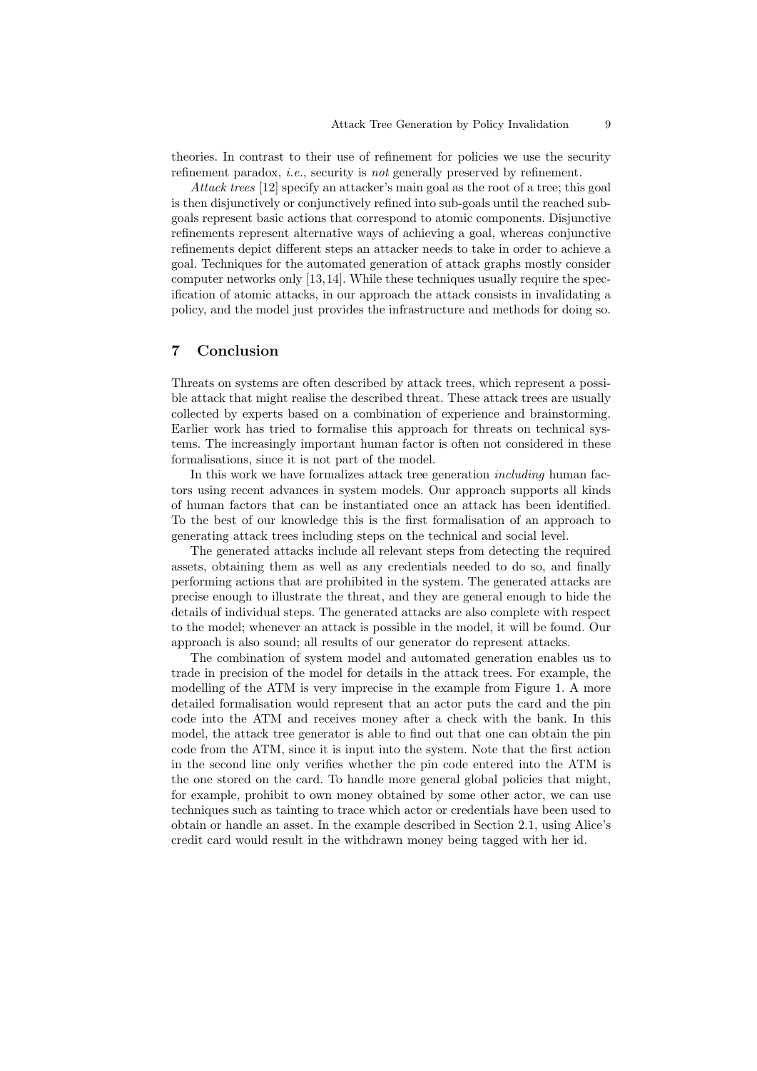theories. In contrast to their use of refinement for policies we use the security refinement paradox, *i.e.*, security is *not* generally preserved by refinement.

Attack trees [12] specify an attacker's main goal as the root of a tree; this goal is then disjunctively or conjunctively refined into sub-goals until the reached subgoals represent basic actions that correspond to atomic components. Disjunctive refinements represent alternative ways of achieving a goal, whereas conjunctive refinements depict different steps an attacker needs to take in order to achieve a goal. Techniques for the automated generation of attack graphs mostly consider computer networks only [13,14]. While these techniques usually require the specification of atomic attacks, in our approach the attack consists in invalidating a policy, and the model just provides the infrastructure and methods for doing so.

### 7 Conclusion

Threats on systems are often described by attack trees, which represent a possible attack that might realise the described threat. These attack trees are usually collected by experts based on a combination of experience and brainstorming. Earlier work has tried to formalise this approach for threats on technical systems. The increasingly important human factor is often not considered in these formalisations, since it is not part of the model.

In this work we have formalizes attack tree generation *including* human factors using recent advances in system models. Our approach supports all kinds of human factors that can be instantiated once an attack has been identified. To the best of our knowledge this is the first formalisation of an approach to generating attack trees including steps on the technical and social level.

The generated attacks include all relevant steps from detecting the required assets, obtaining them as well as any credentials needed to do so, and finally performing actions that are prohibited in the system. The generated attacks are precise enough to illustrate the threat, and they are general enough to hide the details of individual steps. The generated attacks are also complete with respect to the model; whenever an attack is possible in the model, it will be found. Our approach is also sound; all results of our generator do represent attacks.

The combination of system model and automated generation enables us to trade in precision of the model for details in the attack trees. For example, the modelling of the ATM is very imprecise in the example from Figure 1. A more detailed formalisation would represent that an actor puts the card and the pin code into the ATM and receives money after a check with the bank. In this model, the attack tree generator is able to find out that one can obtain the pin code from the ATM, since it is input into the system. Note that the first action in the second line only verifies whether the pin code entered into the ATM is the one stored on the card. To handle more general global policies that might, for example, prohibit to own money obtained by some other actor, we can use techniques such as tainting to trace which actor or credentials have been used to obtain or handle an asset. In the example described in Section 2.1, using Alice's credit card would result in the withdrawn money being tagged with her id.